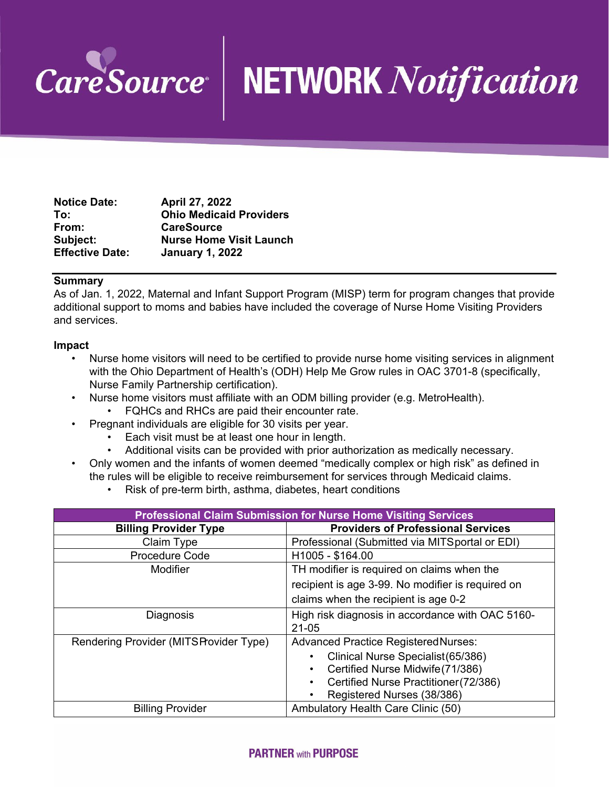

# **NETWORK Notification**

| <b>Notice Date:</b>    | April 27, 2022                 |
|------------------------|--------------------------------|
| To:                    | <b>Ohio Medicaid Providers</b> |
| From:                  | <b>CareSource</b>              |
| Subject:               | <b>Nurse Home Visit Launch</b> |
| <b>Effective Date:</b> | <b>January 1, 2022</b>         |

### **Summary**

As of Jan. 1, 2022, Maternal and Infant Support Program (MISP) term for program changes that provide additional support to moms and babies have included the coverage of Nurse Home Visiting Providers and services.

#### **Impact**

- Nurse home visitors will need to be certified to provide nurse home visiting services in alignment with the Ohio Department of Health's (ODH) Help Me Grow rules in OAC 3701-8 (specifically, Nurse Family Partnership certification).
- Nurse home visitors must affiliate with an ODM billing provider (e.g. MetroHealth).
	- FQHCs and RHCs are paid their encounter rate.
- Pregnant individuals are eligible for 30 visits per year.
	- Each visit must be at least one hour in length.
	- Additional visits can be provided with prior authorization as medically necessary.
- Only women and the infants of women deemed "medically complex or high risk" as defined in the rules will be eligible to receive reimbursement for services through Medicaid claims.
	- Risk of pre-term birth, asthma, diabetes, heart conditions

| <b>Professional Claim Submission for Nurse Home Visiting Services</b> |                                                               |  |
|-----------------------------------------------------------------------|---------------------------------------------------------------|--|
| <b>Billing Provider Type</b>                                          | <b>Providers of Professional Services</b>                     |  |
| Claim Type                                                            | Professional (Submitted via MITS portal or EDI)               |  |
| Procedure Code                                                        | H1005 - \$164.00                                              |  |
| Modifier                                                              | TH modifier is required on claims when the                    |  |
|                                                                       | recipient is age 3-99. No modifier is required on             |  |
|                                                                       | claims when the recipient is age 0-2                          |  |
| Diagnosis                                                             | High risk diagnosis in accordance with OAC 5160-<br>$21 - 05$ |  |
| Rendering Provider (MITS Provider Type)                               | <b>Advanced Practice Registered Nurses:</b>                   |  |
|                                                                       | Clinical Nurse Specialist (65/386)                            |  |
|                                                                       | Certified Nurse Midwife (71/386)                              |  |
|                                                                       | Certified Nurse Practitioner (72/386)                         |  |
|                                                                       | Registered Nurses (38/386)                                    |  |
| <b>Billing Provider</b>                                               | Ambulatory Health Care Clinic (50)                            |  |

## **PARTNER with PURPOSE**